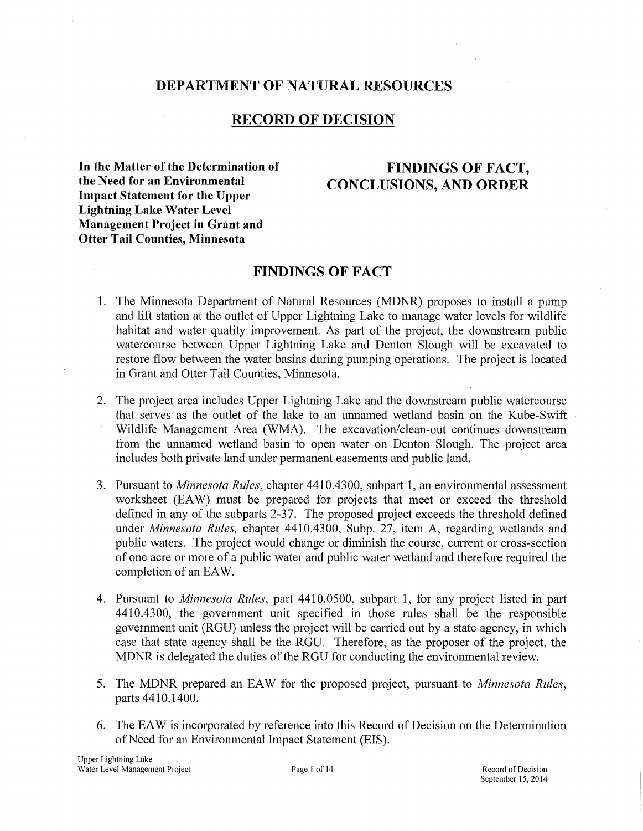## **DEPARTMENT OF NATURAL RESOURCES**

# **RECORD OF DECISION**

**In the Matter of the Determination of FINDINGS OF FACT,<br>
the Need for an Environmental CONCLUSIONS AND OPDEP Impact Statement for the Upper Lightning Lake Water Level Management Project in Grant and Otter Tail Counties, Minnesota** 

# **the CONCLUSIONS, AND ORDER**

## **FINDINGS OF FACT**

- 1. The Minnesota Department of Natural Resources (MDNR) proposes to install a pump and lift station at the outlet of Upper Lightning Lake to manage water levels for wildlife habitat and water quality improvement. As part of the project, the downstream public watercourse between Upper Lightning Lake and Denton Slough will be excavated to restore flow between the water basins during pumping operations. The project is located in Grant and Otter Tail Counties, Minnesota.
- 2. The project area includes Upper Lightning Lake and the downstream public watercourse that serves as the outlet of the lake to an unnamed wetland basin on the Kube-Swift Wildlife Management Area (WMA). The excavation/clean-out continues downstream from the unnamed wetland basin to open water on Denton Slough. The project area includes both private land under permanent easements and public land.
- 3. Pursuant to *Minnesota Rules,* chapter 4410.4300, subpart 1, an environmental assessment worksheet (EAW) must be prepared for projects that meet or exceed the threshold defined in any of the subparts 2-37. The proposed project exceeds the threshold defined under *Minnesota Rules,* chapter 4410.4300, Subp. 27, item A, regarding wetlands and public waters. The project would change or diminish the course, current or cross-section of one acre or more of a public water and public water wetland and therefore required the completion of an EAW.
- 4. Pursuant to *Minnesota Rules,* part 4410.0500, subpart 1, for any project listed in part 4410.4300, the government unit specified in those rules shall be the responsible government unit (RGU) unless the project will be carried out by a state agency, in which case that state agency shall be the RGU. Therefore, as the proposer of the project, the MDNR is delegated the duties of the RGU for conducting the environmental review.
- 5. The MDNR prepared an EAW for the proposed project, pursuant to *Minnesota Rules,*  parts 4410.1400.
- 6. The EAW is incorporated by reference into this Record of Decision on the Determination ofNeed for an Environmental Impact Statement (EIS).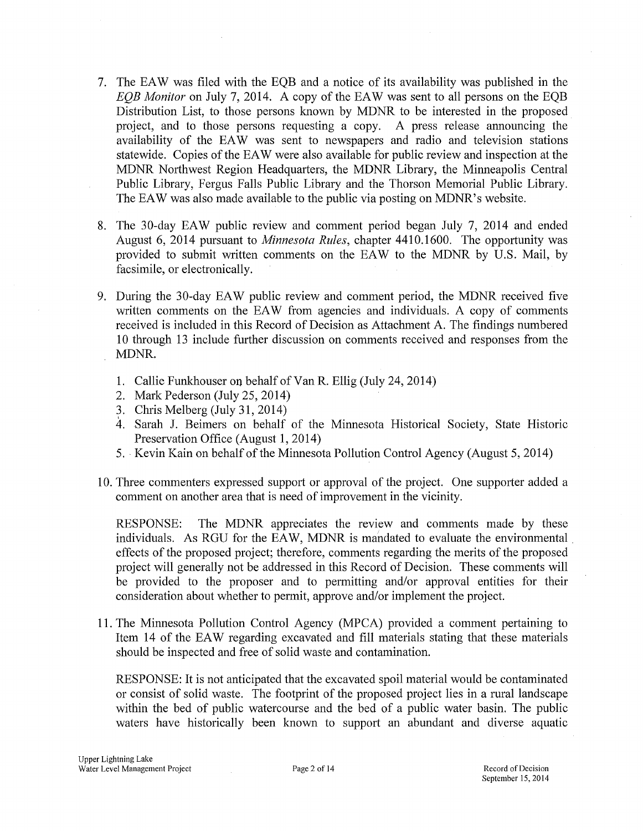- 7. The EAW was filed with the EOB and a notice of its availability was published in the *EQB Monitor* on July 7, 2014. A copy of the EAW was sent to all persons on the EQB Distribution List, to those persons known by MDNR to be interested in the proposed project, and to those persons requesting a copy. A press release announcing the availability of the EAW was sent to newspapers and radio and television stations statewide. Copies of the EA W were also available for public review and inspection at the MDNR Northwest Region Headquarters, the MDNR Library, the Minneapolis Central Public Library, Fergus Falls Public Library and the Thorson Memorial Public Library. The EAW was also made available to the public via posting on MDNR's website.
- 8. The 30-day EAW public review and comment period began July 7, 2014 and ended August 6, 2014 pursuant to *Minnesota Rules,* chapter 4410.1600. The opportunity was provided to submit written comments on the EAW to the MDNR by U.S. Mail, by facsimile, or electronically.
- 9. During the 30-day EAW public review and comment period, the MDNR received five written comments on the EAW from agencies and individuals. A copy of comments received is included in this Record of Decision as Attachment A. The findings numbered 10 through 13 include further discussion on comments received and responses from the MDNR.
	- 1. Callie Funkhouser on behalf of Van R. Ellig (July 24, 2014)
	- 2. Mark Pederson (July 25, 2014)
	- 3. Chris Melberg (July 31, 2014)
	- 4. Sarah J. Beimers on behalf of the Minnesota Historical Society, State Historic Preservation Office (August 1, 2014)
	- 5. ·Kevin Kain on behalf of the Minnesota Pollution Control Agency (August 5, 2014)
- 10. Three commenters expressed support or approval of the project. One supporter added a comment on another area that is need of improvement in the vicinity.

RESPONSE: The MDNR appreciates the review and comments made by these individuals. As RGU for the EAW, MDNR is mandated to evaluate the environmental. effects of the proposed project; therefore, comments regarding the merits of the proposed project will generally not be addressed in this Record of Decision. These comments will be provided to the proposer and to permitting and/or approval entities for their consideration about whether to permit, approve and/or implement the project.

11. The Minnesota Pollution Control Agency (MPCA) provided a comment pertaining to Item 14 of the EAW regarding excavated and fill materials stating that these materials should be inspected and free of solid waste and contamination.

RESPONSE: It is not anticipated that the excavated spoil material would be contaminated or consist of solid waste. The footprint of the proposed project lies in a rural landscape within the bed of public watercourse and the bed of a public water basin. The public waters have historically been known to support an abundant and diverse aquatic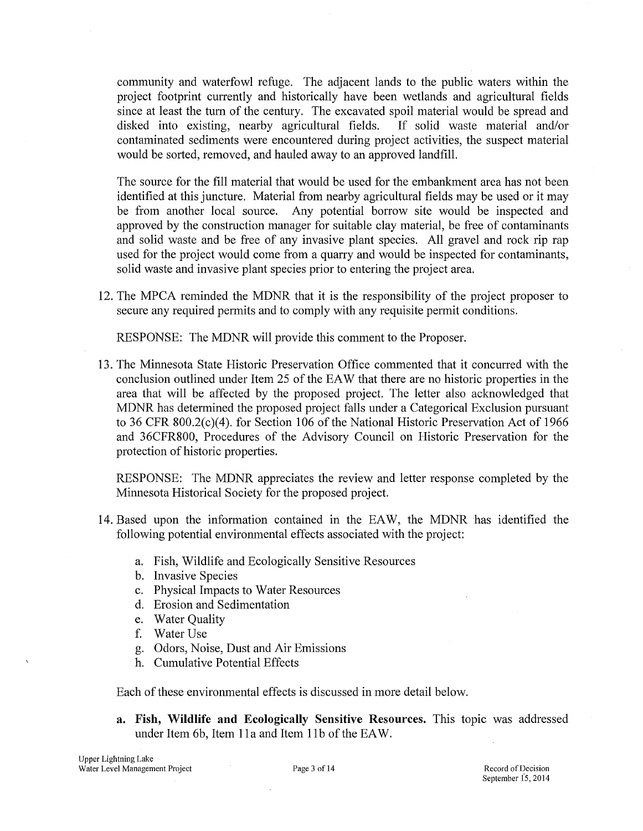community and waterfowl refuge. The adjacent lands to the public waters within the project footprint currently and historically have been wetlands and agricultural fields since at least the tum of the century. The excavated spoil material would be spread and disked into existing, nearby agricultural fields. If solid waste material and/or contaminated sediments were encountered during project activities, the suspect material would be sorted, removed, and hauled away to an approved landfill.

The source for the fill material that would be used for the embankment area has not been identified at this juncture. Material from nearby agricultural fields may be used or it may be from another local source. Any potential borrow site would be inspected and approved by the construction manager for suitable clay material, be free of contaminants and solid waste and be free of any invasive plant species. All gravel and rock rip rap used for the project would come from a quarry and would be inspected for contaminants, solid waste and invasive plant species prior to entering the project area.

12. The MPCA reminded the MDNR that it is the responsibility of the project proposer to secure any required permits and to comply with any requisite permit conditions.

RESPONSE: The MDNR will provide this comment to the Proposer.

13. The Minnesota State Historic Preservation Office commented that it concurred with the conclusion outlined under Item 25 of the EA W that there are no historic properties in the area that will be affected by the proposed project. The letter also acknowledged that MDNR has determined the proposed project falls under a Categorical Exclusion pursuant to 36 CFR 800.2(c)(4). for Section 106 of the National Historic Preservation Act of 1966 and 36CFR800, Procedures of the Advisory Council on Historic Preservation for the protection of historic properties.

RESPONSE: The MDNR appreciates the review and letter response completed by the Minnesota Historical Society for the proposed project.

- 14. Based upon the information contained in the EAW, the MDNR has identified the following potential environmental effects associated with the project:
	- a. Fish, Wildlife and Ecologically Sensitive Resources
	- b. Invasive Species
	- c. Physical Impacts to Water Resources
	- d. Erosion and Sedimentation
	- e. Water Quality
	- f. Water Use
	- g. Odors, Noise, Dust and Air Emissions
	- h. Cumulative Potential Effects

Each of these environmental effects is discussed in more detail below.

**a. Fish, Wildlife and Ecologically Sensitive Resources.** This topic was addressed under Item 6b, Item 11a and Item 11b of the EAW.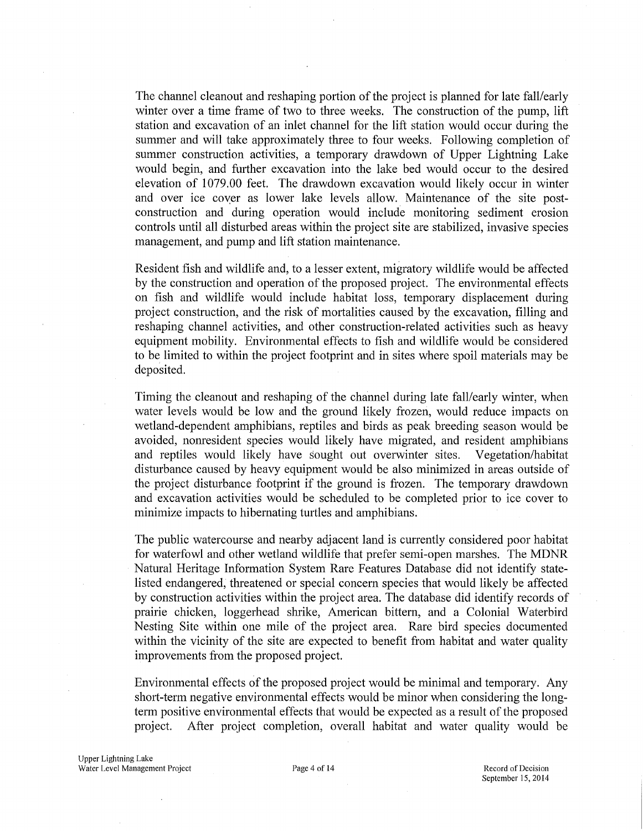The channel cleanout and reshaping portion of the project is planned for late fall/early winter over a time frame of two to three weeks. The construction of the pump, lift station and excavation of an inlet channel for the lift station would occur during the summer and will take approximately three to four weeks. Following completion of summer construction activities, a temporary drawdown of Upper Lightning Lake would begin, and further excavation into the lake bed would occur to the desired elevation of 1079.00 feet. The drawdown excavation would likely occur in winter and over ice cover as lower lake levels allow. Maintenance of the site postconstruction and during operation would include monitoring sediment erosion controls until all disturbed areas within the project site are stabilized, invasive species management, and pump and lift station maintenance.

Resident fish and wildlife and, to a lesser extent, migratory wildlife would be affected by the construction and operation of the proposed project. The environmental effects on fish and wildlife would include habitat loss, temporary displacement during project construction, and the risk of mmialities caused by the excavation, filling and reshaping channel activities, and other construction-related activities such as heavy equipment mobility. Environmental effects to fish and wildlife would be considered to be limited to within the project footprint and in sites where spoil materials may be deposited.

Timing the cleanout and reshaping of the channel during late fall/early winter, when water levels would be low and the ground likely frozen, would reduce impacts on wetland-dependent amphibians, reptiles and birds as peak breeding season would be avoided, nonresident species would likely have migrated, and resident amphibians and reptiles would likely have sought out overwinter sites. Vegetation/habitat disturbance caused by heavy equipment would be also minimized in areas outside of the project disturbance footprint if the ground is frozen. The temporary drawdown and excavation activities would be scheduled to be completed prior to ice cover to minimize impacts to hibernating turtles and amphibians.

The public watercourse and nearby adjacent land is currently considered poor habitat for waterfowl and other wetland wildlife that prefer semi-open marshes. The MDNR Natural Heritage Information System Rare Features Database did not identify statelisted endangered, threatened or special concern species that would likely be affected by construction activities within the project area. The database did identify records of prairie chicken, loggerhead shrike, American bittern, and a Colonial Waterbird Nesting Site within one mile of the project area. Rare bird species documented within the vicinity of the site are expected to benefit from habitat and water quality improvements from the proposed project.

Environmental effects of the proposed project would be minimal and temporary. Any short-term negative environmental effects would be minor when considering the longterm positive environmental effects that would be expected as a result of the proposed project. After project completion, overall habitat and water quality would be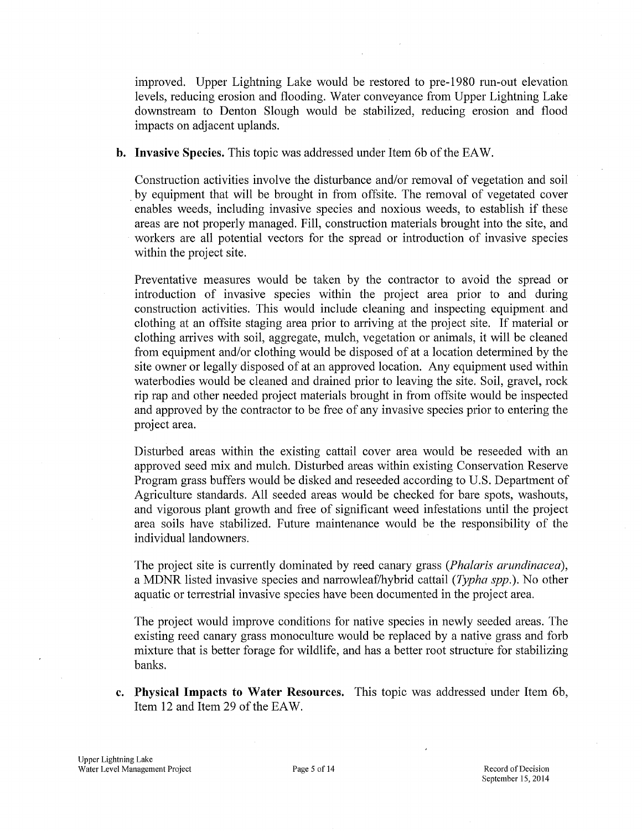improved. Upper Lightning Lake would be restored to pre-1980 run-out elevation levels, reducing erosion and flooding. Water conveyance from Upper Lightning Lake downstream to Denton Slough would be stabilized, reducing erosion and flood impacts on adjacent uplands.

**b.** Invasive Species. This topic was addressed under Item 6b of the EAW.

Construction activities involve the disturbance and/or removal of vegetation and soil . by equipment that will be brought in from offsite. The removal of vegetated cover enables weeds, including invasive species and noxious weeds, to establish if these areas are not properly managed. Fill, construction materials brought into the site, and workers are all potential vectors for the spread or introduction of invasive species within the project site.

Preventative measures would be taken by the contractor to avoid the spread or introduction of invasive species within the project area prior to and during construction activities. This would include cleaning and inspecting equipment and clothing at an offsite staging area prior to arriving at the project site. If material or clothing arrives with soil, aggregate, mulch, vegetation or animals, it will be cleaned from equipment and/or clothing would be disposed of at a location determined by the site owner or legally disposed of at an approved location. Any equipment used within waterbodies would be cleaned and drained prior to leaving the site. Soil, gravel, rock rip rap and other needed project materials brought in from offsite would be inspected and approved by the contractor to be free of any invasive species prior to entering the project area.

Disturbed areas within the existing cattail cover area would be reseeded with an approved seed mix and mulch. Disturbed areas within existing Conservation Reserve Program grass buffers would be disked and reseeded according to U.S. Department of Agriculture standards. All seeded areas would be checked for bare spots, washouts, and vigorous plant growth and free of significant weed infestations until the project area soils have stabilized. Future maintenance would be the responsibility of the individual landowners.

The project site is currently dominated by reed canary grass *(Phalaris arundinacea),*  a MDNR listed invasive species and narrowleaf/hybrid cattail *(Typha spp.)*. No other aquatic or terrestrial invasive species have been documented in the project area.

The project would improve conditions for native species in newly seeded areas. The existing reed canary grass monoculture would be replaced by a native grass and forb mixture that is better forage for wildlife, and has a better root structure for stabilizing banks.

**c. Physical Impacts to Water Resources.** This topic was addressed under Item 6b, Item 12 and Item 29 of the EAW.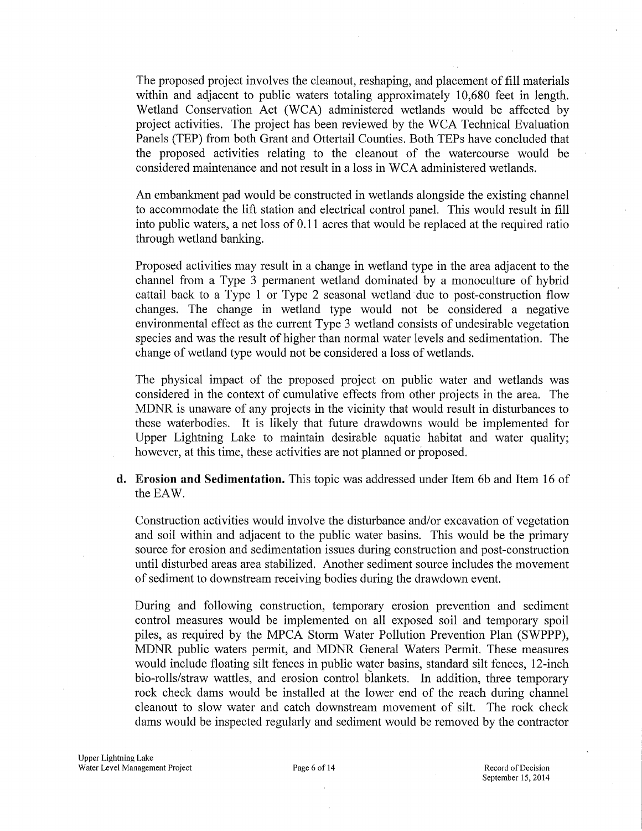The proposed project involves the cleanout, reshaping, and placement of fill materials within and adjacent to public waters totaling approximately 10,680 feet in length. Wetland Conservation Act (WCA) administered wetlands would be affected by project activities. The project has been reviewed by the WCA Technical Evaluation Panels (TEP) from both Grant and Ottertail Counties. Both TEPs have concluded that the proposed activities relating to the cleanout of the watercourse would be considered maintenance and not result in a loss in WCA administered wetlands.

An embankment pad would be constructed in wetlands alongside the existing channel to accommodate the lift station and electrical control panel. This would result in fill into public waters, a net loss of 0.11 acres that would be replaced at the required ratio through wetland banking.

Proposed activities may result in a change in wetland type in the area adjacent to the channel from a Type 3 permanent wetland dominated by a monoculture of hybrid cattail back to a Type 1 or Type 2 seasonal wetland due to post-construction flow changes. The change in wetland type would not be considered a negative environmental effect as the current Type 3 wetland consists of undesirable vegetation species and was the result of higher than normal water levels and sedimentation. The change of wetland type would not be considered a loss of wetlands.

The physical impact of the proposed project on public water and wetlands was considered in the context of cumulative effects from other projects in the area. The MDNR is unaware of any projects in the vicinity that would result in disturbances to these waterbodies. It is likely that future drawdowns would be implemented for Upper Lightning Lake to maintain desirable aquatic habitat and water quality; however, at this time, these activities are not planned or proposed.

**d. Erosion and Sedimentation.** This topic was addressed under Item 6b and Item 16 of the EAW.

Construction activities would involve the disturbance and/or excavation of vegetation and soil within and adjacent to the public water basins. This would be the primary source for erosion and sedimentation issues during construction and post-construction until disturbed areas area stabilized. Another sediment source includes the movement of sediment to downstream receiving bodies during the drawdown event.

During and following construction, temporary erosion prevention and sediment control measures would be implemented on all exposed soil and temporary spoil piles, as required by the MPCA Storm Water Pollution Prevention Plan (SWPPP), MDNR public waters permit, and MDNR General Waters Permit. These measures would include floating silt fences in public water basins, standard silt fences, 12-inch bio-rolls/straw wattles, and erosion control blankets. In addition, three temporary rock check dams would be installed at the lower end of the reach during channel cleanout to slow water and catch downstream movement of silt. The rock check dams would be inspected regularly and sediment would be removed by the contractor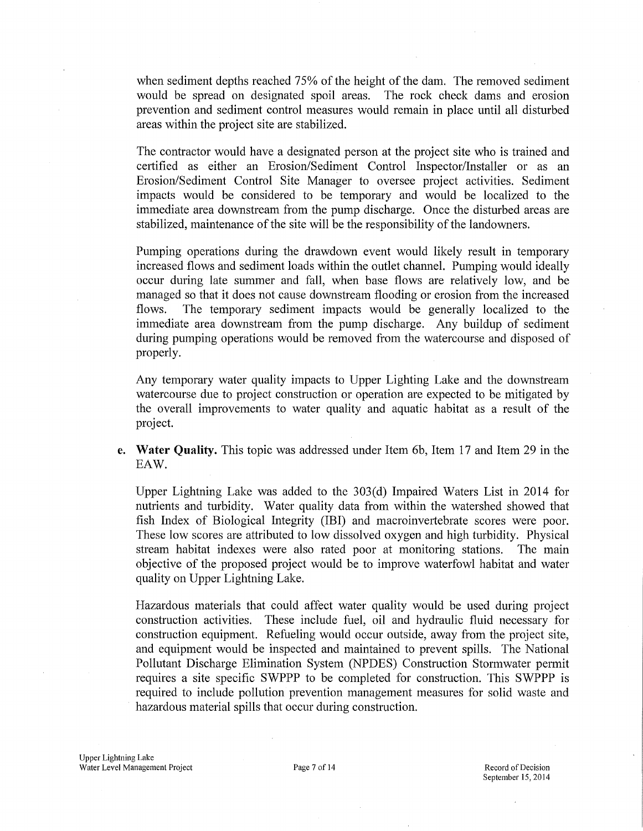when sediment depths reached 75% of the height of the dam. The removed sediment would be spread on designated spoil areas. The rock check dams and erosion prevention and sediment control measures would remain in place until all disturbed areas within the project site are stabilized.

The contractor would have a designated person at the project site who is trained and certified as either an Erosion/Sediment Control Inspector/Installer or as an Erosion/Sediment Control Site Manager to oversee project activities. Sediment impacts would be considered to be temporary and would be localized to the immediate area downstream from the pump discharge. Once the disturbed areas are stabilized, maintenance of the site will be the responsibility of the landowners.

Pumping operations during the drawdown event would likely result in temporary increased flows and sediment loads within the outlet channel. Pumping would ideally occur during late summer and fall, when base flows are relatively low, and be managed so that it does not cause downstream flooding or erosion from the increased flows. The temporary sediment impacts would be generally localized to the immediate area downstream from the pump discharge. Any buildup of sediment during pumping operations would be removed from the watercourse and disposed of properly.

Any temporary water quality impacts to Upper Lighting Lake and the downstream watercourse due to project construction or operation are expected to be mitigated by the overall improvements to water quality and aquatic habitat as a result of the project.

**e.** Water Quality. This topic was addressed under Item 6b, Item 17 and Item 29 in the EAW.

Upper Lightning Lake was added to the 303(d) Impaired Waters List in 2014 for nutrients and turbidity. Water quality data from within the watershed showed that fish Index of Biological Integrity (IBI) and macroinvertebrate scores were poor. These low scores are attributed to low dissolved oxygen and high turbidity. Physical stream habitat indexes were also rated poor at monitoring stations. The main objective of the proposed project would be to improve waterfowl habitat and water quality on Upper Lightning Lake.

Hazardous materials that could affect water quality would be used during project construction activities. These include fuel, oil and hydraulic fluid necessary for construction equipment. Refueling would occur outside, away from the project site, and equipment would be inspected and maintained to prevent spills. The National Pollutant Discharge Elimination System (NPDES) Construction Stormwater permit requires a site specific SWPPP to be completed for construction. This SWPPP is required to include pollution prevention management measures for solid waste and hazardous material spills that occur during construction.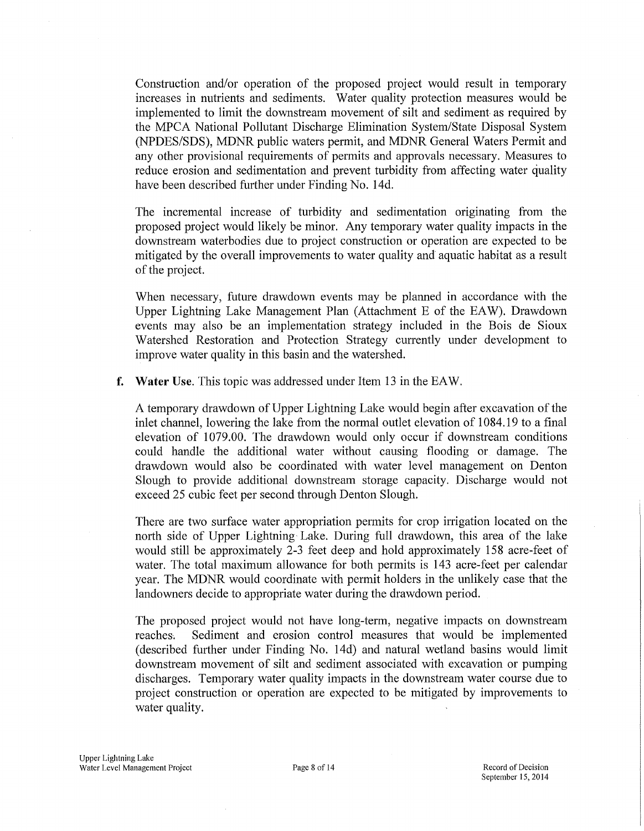Construction and/or operation of the proposed project would result in temporary increases in nutrients and sediments. Water quality protection measures would be implemented to limit the downstream movement of silt and sediment as required by the MPCA National Pollutant Discharge Elimination System/State Disposal System (NPDES/SDS), MDNR public waters permit, and MDNR General Waters Permit and any other provisional requirements of permits and approvals necessary. Measures to reduce erosion and sedimentation and prevent turbidity from affecting water quality have been described further under Finding No. 14d.

The incremental increase of turbidity and sedimentation originating from the proposed project would likely be minor. Any temporary water quality impacts in the downstream waterbodies due to project construction or operation are expected to be mitigated by the overall improvements to water quality and aquatic habitat as a result of the project.

When necessary, future drawdown events may be planned in accordance with the Upper Lightning Lake Management Plan (Attachment E of the EA W). Drawdown events may also be an implementation strategy included in the Bois de Sioux Watershed Restoration and Protection Strategy currently under development to improve water quality in this basin and the watershed.

**f. Water** Use. This topic was addressed under Item 13 in the EAW.

A temporary drawdown of Upper Lightning Lake would begin after excavation of the inlet channel, lowering the lake from the normal outlet elevation of 1084.19 to a final elevation of 1079.00. The drawdown would only occur if downstream conditions could handle the additional water without causing flooding or damage. The drawdown would also be coordinated with water level management on Denton Slough to provide additional downstream storage capacity. Discharge would not exceed 25 cubic feet per second through Denton Slough.

There are two surface water appropriation permits for crop irrigation located on the north side of Upper Lightning Lake. During full drawdown, this area of the lake would still be approximately 2-3 feet deep and hold approximately 158 acre-feet of water. The total maximum allowance for both permits is 143 acre-feet per calendar year. The MDNR would coordinate with permit holders in the unlikely case that the landowners decide to appropriate water during the drawdown period.

The proposed project would not have long-term, negative impacts on downstream reaches. Sediment and erosion control measures that would be implemented (described further under Finding No. 14d) and natural wetland basins would limit downstream movement of silt and sediment associated with excavation or pumping discharges. Temporary water quality impacts in the downstream water course due to project construction or operation are expected to be mitigated by improvements to water quality.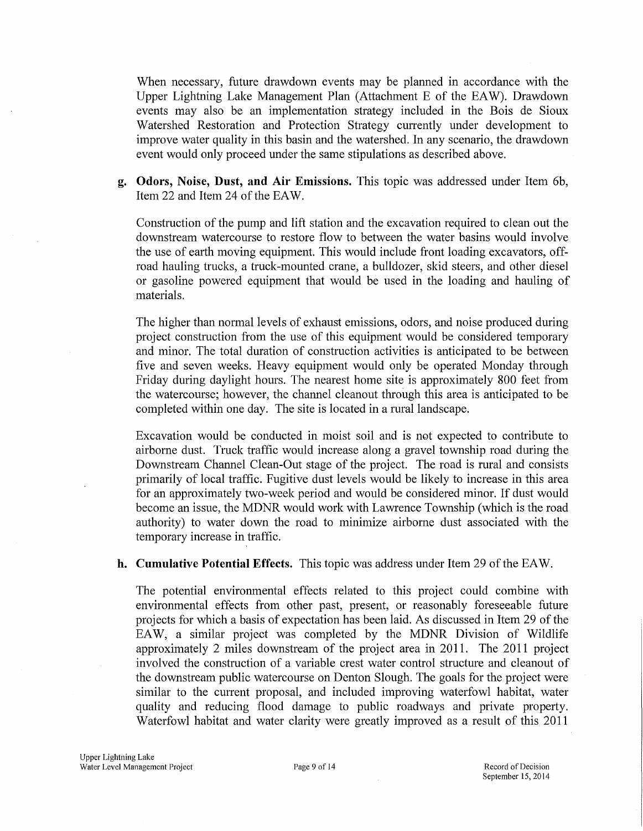When necessary, future drawdown events may be planned in accordance with the Upper Lightning Lake Management Plan (Attachment E of the EA W). Drawdown events may also be an implementation strategy included in the Bois de Sioux Watershed Restoration and Protection Strategy currently under development to improve water quality in this basin and the watershed. In any scenario, the drawdown event would only proceed under the same stipulations as described above.

**g. Odors, Noise, Dust, and Air Emissions.** This topic was addressed under Item 6b, Item 22 and Item 24 of the EAW.

Construction of the pump and lift station and the excavation required to clean out the downstream watercourse to restore flow to between the water basins would involve the use of emih moving equipment. This would include front loading excavators, offroad hauling trucks, a truck-mounted crane, a bulldozer, skid steers, and other diesel or gasoline powered equipment that would be used in the loading and hauling of materials.

The higher than normal levels of exhaust emissions, odors, and noise produced during project construction from the use of this equipment would be considered temporary and minor. The total duration of construction activities is anticipated to be between five and seven weeks. Heavy equipment would only be operated Monday through Friday during daylight hours. The nearest home site is approximately 800 feet from the watercourse; however, the channel cleanout through this area is anticipated to be completed within one day. The site is located in a rural landscape.

Excavation would be conducted in moist soil and is not expected to contribute to airborne dust. Truck traffic would increase along a gravel township road during the Downstream Channel Clean-Out stage of the project. The road is rural and consists primarily of local traffic. Fugitive dust levels would be likely to increase in this area for an approximately two-week period and would be considered minor. If dust would become an issue, the MDNR would work with Lawrence Township (which is the road authority) to water down the road to minimize airborne dust associated with the temporary increase in traffic.

#### **h. Cumulative Potential Effects.** This topic was address under Item 29 of the EAW.

The potential environmental effects related to this project could combine with environmental effects from other past, present, or reasonably foreseeable future projects for which a basis of expectation has been laid. As discussed in Item 29 of the EAW, a similar project was completed by the MDNR Division of Wildlife approximately 2 miles downstream of the project area in 2011. The 2011 project involved the construction of a variable crest water control structure and cleanout of the downstream public watercourse on Denton Slough. The goals for the project were similar to the current proposal, and included improving waterfowl habitat, water quality and reducing flood damage to public roadways and private property. Waterfowl habitat and water clarity were greatly improved as a result of this 2011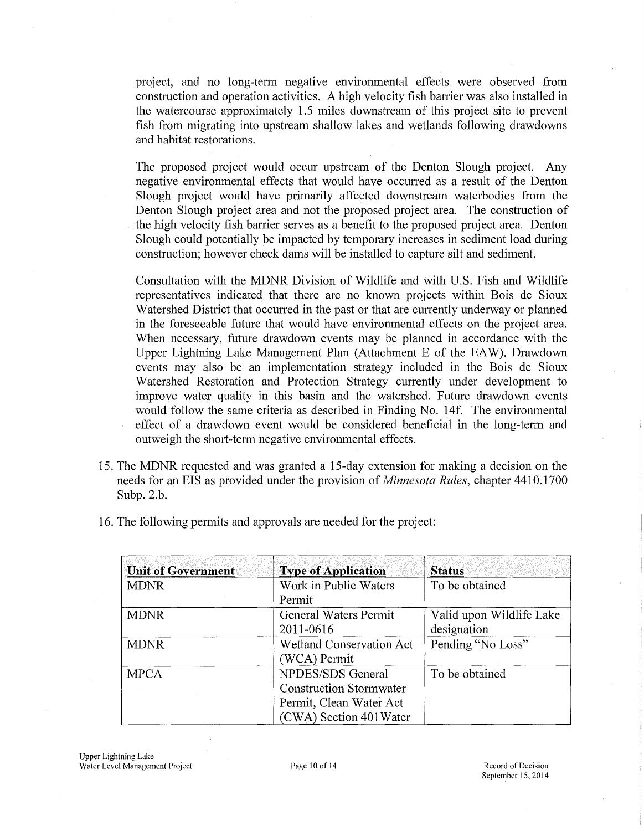project, and no long-term negative environmental effects were observed from construction and operation activities. A high velocity fish barrier was also installed in the watercourse approximately 1.5 miles downstream of this project site to prevent fish from migrating into upstream shallow lakes and wetlands following drawdowns and habitat restorations.

The proposed project would occur upstream of the Denton Slough project. Any negative environmental effects that would have occurred as a result of the Denton Slough project would have primarily affected downstream waterbodies from the Denton Slough project area and not the proposed project area. The construction of the high velocity fish barrier serves as a benefit to the proposed project area. Denton Slough could potentially be impacted by temporary increases in sediment load during construction; however check dams will be installed to capture silt and sediment.

Consultation with the MDNR Division of Wildlife and with U.S. Fish and Wildlife representatives indicated that there are no known projects within Bois de Sioux Watershed District that occurred in the past or that are currently underway or planned in the foreseeable future that would have environmental effects on the project area. When necessary, future drawdown events may be planned in accordance with the Upper Lightning Lake Management Plan (Attachment E of the EAW). Drawdown events may also be an implementation strategy included in the Bois de Sioux Watershed Restoration and Protection Strategy currently under development to improve water quality in this basin and the watershed. Future drawdown events would follow the same criteria as described in Finding No. 14f. The environmental effect of a drawdown event would be considered beneficial in the long-term and outweigh the short-term negative environmental effects.

- 15. The MDNR requested and was granted a 15-day extension for making a decision on the needs for an EIS as provided under the provision of *Minnesota Rules,* chapter 4410.1700 Subp. 2.b.
- 16. The following permits and approvals are needed for the project:

| <b>Unit of Government</b> | <b>Type of Application</b>      | <b>Status</b>            |
|---------------------------|---------------------------------|--------------------------|
| <b>MDNR</b>               | Work in Public Waters           | To be obtained           |
|                           | Permit                          |                          |
| <b>MDNR</b>               | <b>General Waters Permit</b>    | Valid upon Wildlife Lake |
|                           | 2011-0616                       | designation              |
| <b>MDNR</b>               | <b>Wetland Conservation Act</b> | Pending "No Loss"        |
|                           | (WCA) Permit                    |                          |
| <b>MPCA</b>               | NPDES/SDS General               | To be obtained           |
|                           | <b>Construction Stormwater</b>  |                          |
|                           | Permit, Clean Water Act         |                          |
|                           | (CWA) Section 401 Water         |                          |

September 15, 2014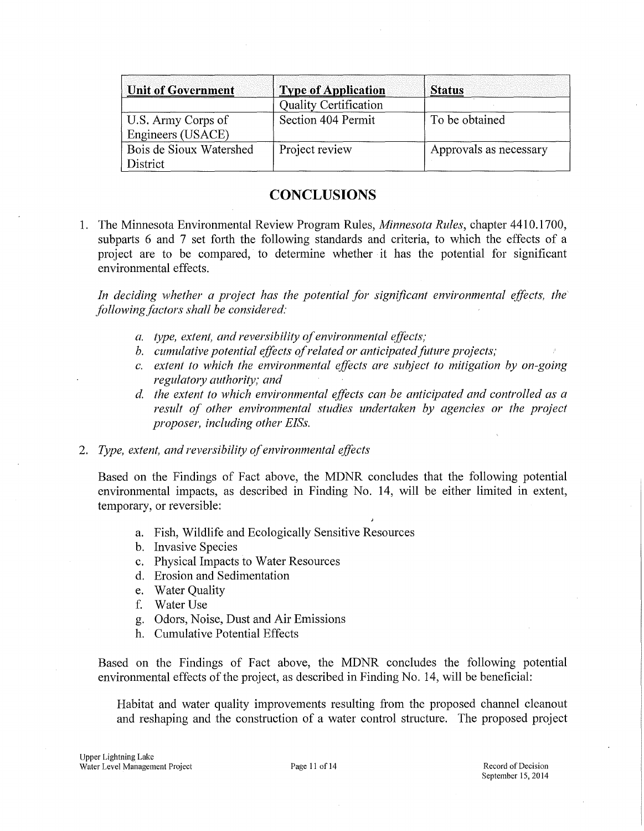| Unit of Government                      | <b>Type of Application</b>   | <b>Status</b>          |
|-----------------------------------------|------------------------------|------------------------|
|                                         | <b>Quality Certification</b> |                        |
| U.S. Army Corps of<br>Engineers (USACE) | Section 404 Permit           | To be obtained         |
| Bois de Sioux Watershed<br>District     | Project review               | Approvals as necessary |

# **CONCLUSIONS**

1. The Minnesota Environmental Review Program Rules, *Minnesota Rules,* chapter 4410.1700, subparts 6 and 7 set forth the following standards and criteria, to which the effects of a project are to be compared, to determine whether it has the potential for significant environmental effects.

*In deciding whether a project has the potential for significant environmental effects, the following factors shall be considered:* 

- *a. type, extent, and reversibility ofenvironmental effects;*
- *b. cumulative potential effects of related or anticipated future projects;*
- *c.* extent to which the environmental effects are subject to mitigation by on-going *regulatory authority; and*
- d. the extent to which environmental effects can be anticipated and controlled as a *result of other environmental studies undertaken by agencies or the project proposer, including other EISs.*

#### 2. *Type, extent, and reversibility ofenvironmental effects*

Based on the Findings of Fact above, the MDNR concludes that the following potential environmental impacts, as described in Finding No. 14, will be either limited in extent, temporary, or reversible:

- a. Fish, Wildlife and Ecologically Sensitive Resources
- b. Invasive Species
- c. Physical Impacts to Water Resources
- d. Erosion and Sedimentation
- e. Water Ouality
- f. Water Use
- g. Odors, Noise, Dust and Air Emissions
- h. Cumulative Potential Effects

Based on the Findings of Fact above, the MDNR concludes the following potential environmental effects of the project, as described in Finding No. 14, will be beneficial:

Habitat and water quality improvements resulting from the proposed channel cleanout and reshaping and the construction of a water control structure. The proposed project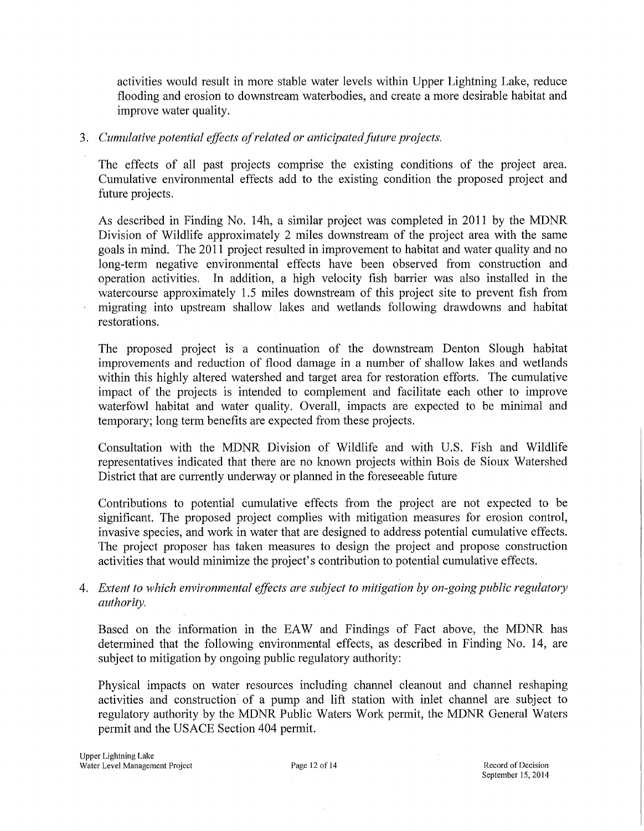activities would result in more stable water levels within Upper Lightning Lake, reduce flooding and erosion to downstream waterbodies, and create a more desirable habitat and improve water quality.

## 3. *Cumulative potential effects ofrelated or anticipated fitture projects.*

The effects of all past projects comprise the existing conditions of the project area. Cumulative environmental effects add to the existing condition the proposed project and future projects.

As described in Finding No. 14h, a similar project was completed in 2011 by the MDNR Division of Wildlife approximately 2 miles downstream of the project area with the same goals in mind. The 2011 project resulted in improvement to habitat and water quality and no long-term negative environmental effects have been observed from construction and operation activities. In addition, a high velocity fish barrier was also installed in the watercourse approximately 1.5 miles downstream of this project site to prevent fish from migrating into upstream shallow lakes and wetlands following drawdowns and habitat restorations.

The proposed project is a continuation of the downstream Denton Slough habitat improvements and reduction of flood damage in a number of shallow lakes and wetlands within this highly altered watershed and target area for restoration efforts. The cumulative impact of the projects is intended to complement and facilitate each other to improve waterfowl habitat and water quality. Overall, impacts are expected to be minimal and temporary; long term benefits are expected from these projects.

Consultation with the MDNR Division of Wildlife and with U.S. Fish and Wildlife representatives indicated that there are no known projects within Bois de Sioux Watershed District that are currently underway or planned in the foreseeable future

Contributions to potential cumulative effects from the project are not expected to be significant. The proposed project complies with mitigation measures for erosion control, invasive species, and work in water that are designed to address potential cumulative effects. The project proposer has taken measures to design the project and propose construction activities that would minimize the project's contribution to potential cumulative effects.

## 4. *Extent to which environmental effects are subject to mitigation by on-going public regulatory authority.*

Based on the information in the EAW and Findings of Fact above, the MDNR has determined that the following environmental effects, as described in Finding No. 14, are subject to mitigation by ongoing public regulatory authority:

Physical impacts on water resources including channel cleanout and channel reshaping activities and construction of a pump and lift station with inlet channel are subject to regulatory authority by the MDNR Public Waters Work permit, the MDNR General Waters permit and the USACE Section 404 permit.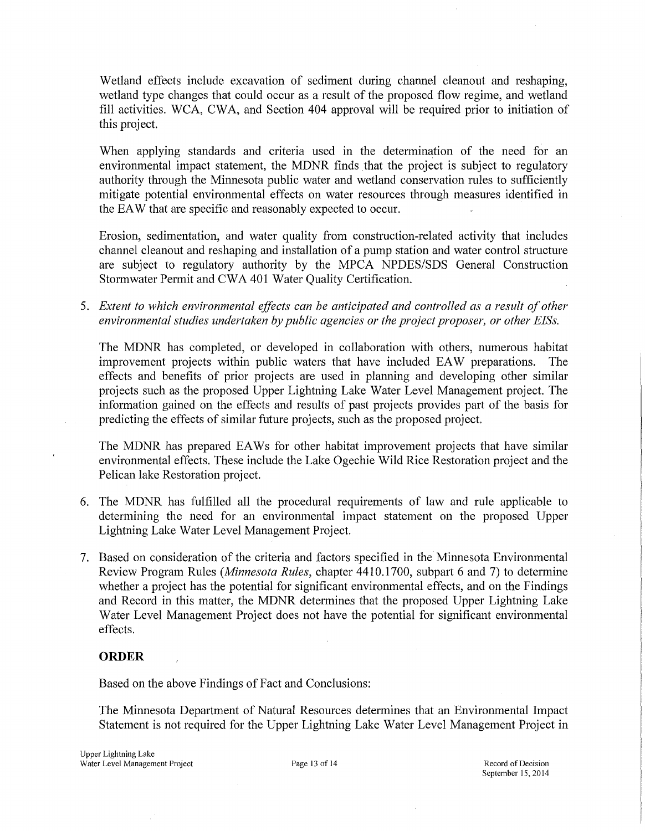Wetland effects include excavation of sediment during channel cleanout and reshaping, wetland type changes that could occur as a result of the proposed flow regime, and wetland fill activities. WCA, CWA, and Section 404 approval will be required prior to initiation of this project.

When applying standards and criteria used in the determination of the need for an environmental impact statement, the MDNR finds that the project is subject to regulatory authority through the Minnesota public water and wetland conservation rules to sufficiently mitigate potential environmental effects on water resources through measures identified in the EAW that are specific and reasonably expected to occur.

Erosion, sedimentation, and water quality from construction-related activity that includes channel cleanout and reshaping and installation of a pump station and water control structure are subject to regulatory authority by the MPCA NPDES/SDS General Construction Storm water Permit and CWA 401 Water Quality Certification.

5. Extent to which environmental effects can be anticipated and controlled as a result of other *environmental studies undertaken by public agencies or the project proposer, or other E!Ss.* 

The MDNR has completed, or developed in collaboration with others, numerous habitat improvement projects within public waters that have included EA W preparations. The effects and benefits of prior projects are used in planning and developing other similar projects such as the proposed Upper Lightning Lake Water Level Management project. The information gained on the effects and results of past projects provides part of the basis for predicting the effects of similar future projects, such as the proposed project.

The MDNR has prepared EAWs for other habitat improvement projects that have similar environmental effects. These include the Lake Ogechie Wild Rice Restoration project and the Pelican lake Restoration project.

- 6. The MDNR has fulfilled all the procedural requirements of law and rule applicable to determining the need for an environmental impact statement on the proposed Upper Lightning Lake Water Level Management Project.
- 7. Based on consideration of the criteria and factors specified in the Minnesota Environmental Review Program Rules *(Minnesota Rules,* chapter 4410.1700, subpart 6 and 7) to determine whether a project has the potential for significant environmental effects, and on the Findings and Record in this matter, the MDNR determines that the proposed Upper Lightning Lake Water Level Management Project does not have the potential for significant environmental effects.

## **ORDER**

Based on the above Findings of Fact and Conclusions:

The Minnesota Department of Natural Resources determines that an Environmental Impact Statement is not required for the Upper Lightning Lake Water Level Management Project in